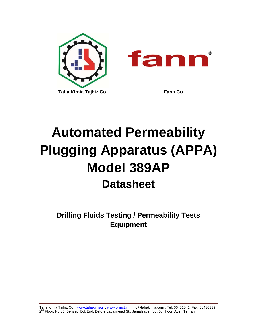

# **Automated Permeability Plugging Apparatus (APPA) Model 389AP Datasheet**

**Drilling Fluids Testing / Permeability Tests Equipment** 

Taha Kimia Tajhiz Co. , <u>www.tahakimia.ir , www.oilinst.ir</u> , info@tahakimia.com , Tel: 66431041, Fax: 66430339 2<sup>nd</sup> Floor, No 35, Behzadi Dd. End, Before Labafinejad St., Jamalzadeh St., Jomhoori Ave., Tehran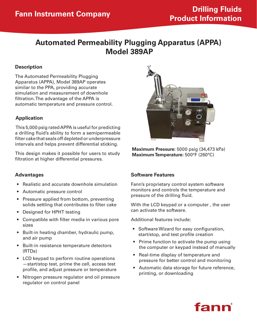# **Automated Permeability Plugging Apparatus (APPA) Model 389AP**

# **Description**

The Automated Permeability Plugging Apparatus (APPA), Model 389AP operates similar to the PPA, providing accurate simulation and measurement of downhole filtration. The advantage of the APPA is automatic temperature and pressure control.

# **Application**

This 5,000 psig rated APPA is useful for predicting a drilling fluid's ability to form a semipermeable filter cake that seals off depleted or underpressure intervals and helps prevent differential sticking.

This design makes it possible for users to study filtration at higher differential pressures.

## **Advantages**

- Realistic and accurate downhole simulation
- • Automatic pressure control
- Pressure applied from bottom, preventing solids settling that contributes to filter cake
- Designed for HPHT testing
- Compatible with filter media in various pore sizes
- Built-in heating chamber, hydraulic pump, and air pump
- • Built-in resistance temperature detectors (RTDs)
- LCD keypad to perform routine operations —start/stop test, prime the cell, access test profile, and adjust pressure or temperature
- • Nitrogen pressure regulator and oil pressure regulator on control panel



**Maximum Pressure:** 5000 psig (34,473 kPa) **Maximum Temperature:** 500°F (260°C)

#### **Software Features**

Fann's proprietary control system software monitors and controls the temperature and pressure of the drilling fluid.

With the LCD keypad or a computer , the user can activate the software.

Additional features include:

- Software Wizard for easy configuration, start/stop, and test profile creation
- Prime function to activate the pump using the computer or keypad instead of manually
- • Real-time display of temperature and pressure for better control and monitoring
- • Automatic data storage for future reference, printing, or downloading

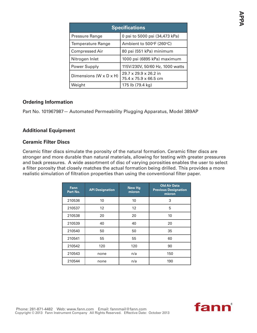| <b>Specifications</b>  |                                                            |  |
|------------------------|------------------------------------------------------------|--|
| Pressure Range         | 0 psi to 5000 psi (34,473 kPa)                             |  |
| Temperature Range      | Ambient to 500°F (260°C)                                   |  |
| <b>Compressed Air</b>  | 80 psi (551 kPa) minimum                                   |  |
| Nitrogen Inlet         | 1000 psi (6895 kPa) maximum                                |  |
| Power Supply           | 115V/230V, 50/60 Hz, 1000 watts                            |  |
| Dimensions (W x D x H) | $29.7 \times 29.9 \times 26.2$ in<br>75.4 x 75.9 x 66.5 cm |  |
| Weight                 | 175 lb (79.4 kg)                                           |  |

# **Ordering Information**

Part No. 101967987— Automated Permeability Plugging Apparatus, Model 389AP

# **Additional Equipment**

## **Ceramic Filter Discs**

Ceramic filter discs simulate the porosity of the natural formation. Ceramic filter discs are stronger and more durable than natural materials, allowing for testing with greater pressures and back pressures. A wide assortment of disc of varying porosities enables the user to select a filter porosity that closely matches the actual formation being drilled. This provides a more realistic simulation of filtration properties than using the conventional filter paper.

| <b>Fann</b><br>Part No. | <b>API Designation</b> | <b>New Hg</b><br>micron | <b>Old Air Data</b><br><b>Previous Designation</b><br>micron |
|-------------------------|------------------------|-------------------------|--------------------------------------------------------------|
| 210536                  | 10                     | 10                      | 3                                                            |
| 210537                  | 12                     | 12                      | 5                                                            |
| 210538                  | 20                     | 20                      | 10                                                           |
| 210539                  | 40                     | 40                      | 20                                                           |
| 210540                  | 50                     | 50                      | 35                                                           |
| 210541                  | 55                     | 55                      | 60                                                           |
| 210542                  | 120                    | 120                     | 90                                                           |
| 210543                  | none                   | n/a                     | 150                                                          |
| 210544                  | none                   | n/a                     | 190                                                          |